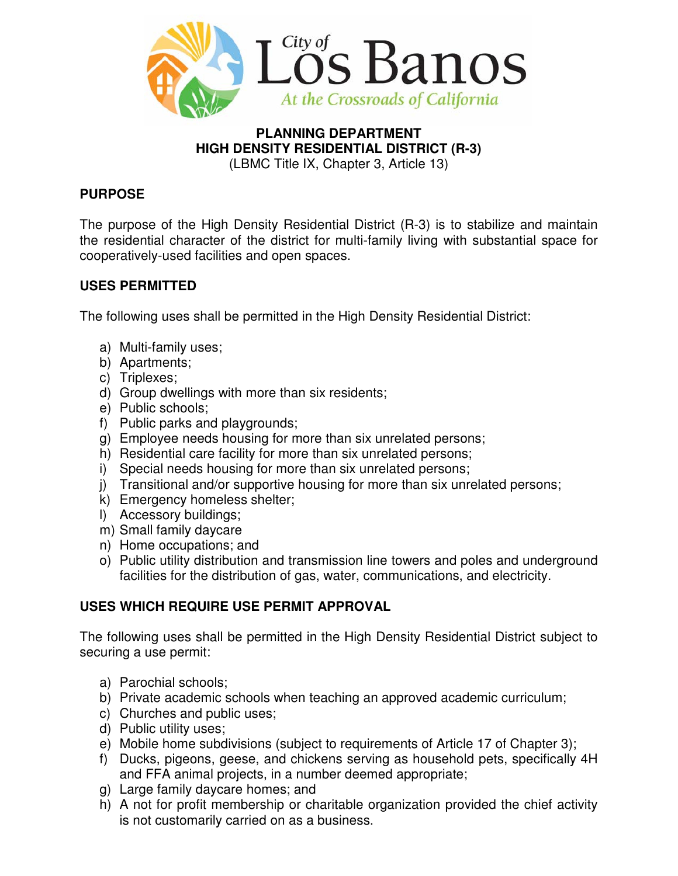

# **PLANNING DEPARTMENT HIGH DENSITY RESIDENTIAL DISTRICT (R-3)**

(LBMC Title IX, Chapter 3, Article 13)

## **PURPOSE**

The purpose of the High Density Residential District (R-3) is to stabilize and maintain the residential character of the district for multi-family living with substantial space for cooperatively-used facilities and open spaces.

## **USES PERMITTED**

The following uses shall be permitted in the High Density Residential District:

- a) Multi-family uses;
- b) Apartments;
- c) Triplexes;
- d) Group dwellings with more than six residents;
- e) Public schools;
- f) Public parks and playgrounds;
- g) Employee needs housing for more than six unrelated persons;
- h) Residential care facility for more than six unrelated persons;
- i) Special needs housing for more than six unrelated persons;
- j) Transitional and/or supportive housing for more than six unrelated persons;
- k) Emergency homeless shelter;
- l) Accessory buildings;
- m) Small family daycare
- n) Home occupations; and
- o) Public utility distribution and transmission line towers and poles and underground facilities for the distribution of gas, water, communications, and electricity.

## **USES WHICH REQUIRE USE PERMIT APPROVAL**

The following uses shall be permitted in the High Density Residential District subject to securing a use permit:

- a) Parochial schools;
- b) Private academic schools when teaching an approved academic curriculum;
- c) Churches and public uses;
- d) Public utility uses;
- e) Mobile home subdivisions (subject to requirements of Article 17 of Chapter 3);
- f) Ducks, pigeons, geese, and chickens serving as household pets, specifically 4H and FFA animal projects, in a number deemed appropriate;
- g) Large family daycare homes; and
- h) A not for profit membership or charitable organization provided the chief activity is not customarily carried on as a business.